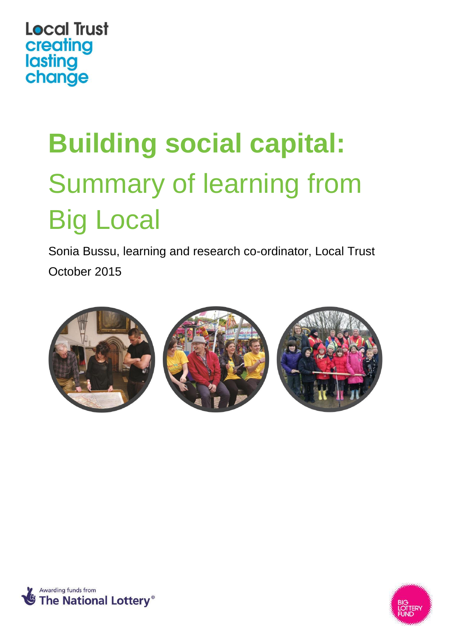# **Local Trust** creating<br>lasting<br>change

# **Building social capital:**  Summary of learning from Big Local

Sonia Bussu, learning and research co-ordinator, Local Trust October 2015





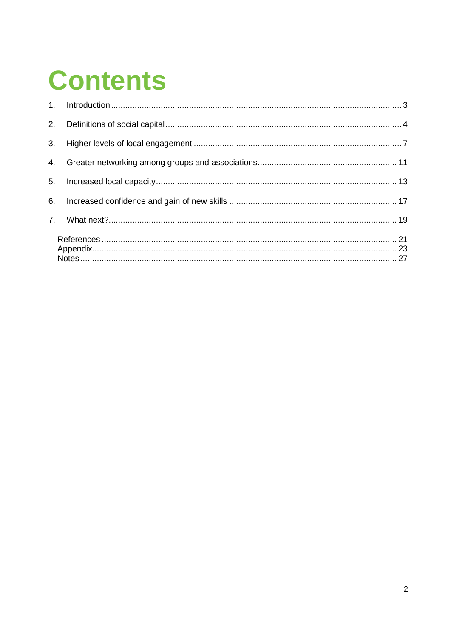## **Contents**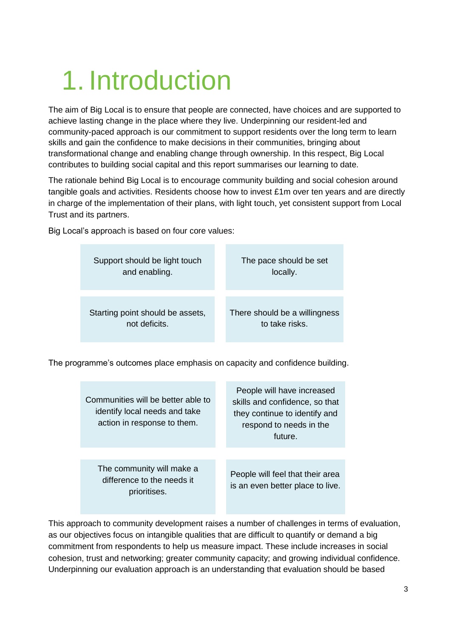## <span id="page-2-0"></span>1. Introduction

The aim of Big Local is to ensure that people are connected, have choices and are supported to achieve lasting change in the place where they live. Underpinning our resident-led and community-paced approach is our commitment to support residents over the long term to learn skills and gain the confidence to make decisions in their communities, bringing about transformational change and enabling change through ownership. In this respect, Big Local contributes to building social capital and this report summarises our learning to date.

The rationale behind Big Local is to encourage community building and social cohesion around tangible goals and activities. Residents choose how to invest £1m over ten years and are directly in charge of the implementation of their plans, with light touch, yet consistent support from Local Trust and its partners.

Big Local's approach is based on four core values:

| Support should be light touch    | The pace should be set        |
|----------------------------------|-------------------------------|
| and enabling.                    | locally.                      |
| Starting point should be assets, | There should be a willingness |
| not deficits.                    | to take risks.                |

The programme's outcomes place emphasis on capacity and confidence building.

| Communities will be better able to<br>identify local needs and take<br>action in response to them. | People will have increased<br>skills and confidence, so that<br>they continue to identify and<br>respond to needs in the<br>future. |
|----------------------------------------------------------------------------------------------------|-------------------------------------------------------------------------------------------------------------------------------------|
|                                                                                                    |                                                                                                                                     |
| The community will make a<br>difference to the needs it<br>prioritises.                            | People will feel that their area<br>is an even better place to live.                                                                |

This approach to community development raises a number of challenges in terms of evaluation, as our objectives focus on intangible qualities that are difficult to quantify or demand a big commitment from respondents to help us measure impact. These include increases in social cohesion, trust and networking; greater community capacity; and growing individual confidence. Underpinning our evaluation approach is an understanding that evaluation should be based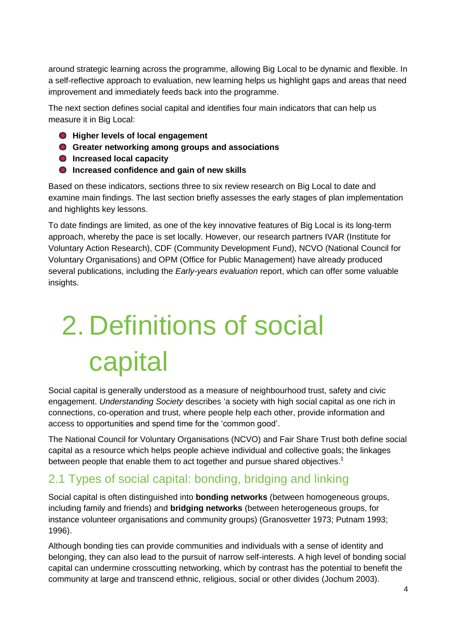around strategic learning across the programme, allowing Big Local to be dynamic and flexible. In a self-reflective approach to evaluation, new learning helps us highlight gaps and areas that need improvement and immediately feeds back into the programme.

The next section defines social capital and identifies four main indicators that can help us measure it in Big Local:

- **Higher levels of local engagement**
- **Greater networking among groups and associations**
- **O** Increased local capacity
- **Increased confidence and gain of new skills**

Based on these indicators, sections three to six review research on Big Local to date and examine main findings. The last section briefly assesses the early stages of plan implementation and highlights key lessons.

To date findings are limited, as one of the key innovative features of Big Local is its long-term approach, whereby the pace is set locally. However, our research partners IVAR (Institute for Voluntary Action Research), CDF (Community Development Fund), NCVO (National Council for Voluntary Organisations) and OPM (Office for Public Management) have already produced several publications, including the *Early-years evaluation* report, which can offer some valuable insights.

# <span id="page-3-0"></span>2. Definitions of social capital

Social capital is generally understood as a measure of neighbourhood trust, safety and civic engagement. *Understanding Society* describes 'a society with high social capital as one rich in connections, co-operation and trust, where people help each other, provide information and access to opportunities and spend time for the 'common good'.

The National Council for Voluntary Organisations (NCVO) and Fair Share Trust both define social capital as a resource which helps people achieve individual and collective goals; the linkages between people that enable them to act together and pursue shared objectives.<sup>1</sup>

### 2.1 Types of social capital: bonding, bridging and linking

Social capital is often distinguished into **bonding networks** (between homogeneous groups, including family and friends) and **bridging networks** (between heterogeneous groups, for instance volunteer organisations and community groups) (Granosvetter 1973; Putnam 1993; 1996).

Although bonding ties can provide communities and individuals with a sense of identity and belonging, they can also lead to the pursuit of narrow self-interests. A high level of bonding social capital can undermine crosscutting networking, which by contrast has the potential to benefit the community at large and transcend ethnic, religious, social or other divides (Jochum 2003).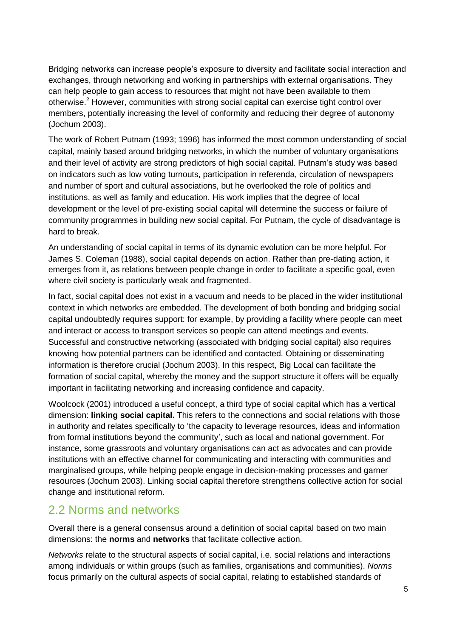Bridging networks can increase people's exposure to diversity and facilitate social interaction and exchanges, through networking and working in partnerships with external organisations. They can help people to gain access to resources that might not have been available to them otherwise.<sup>2</sup> However, communities with strong social capital can exercise tight control over members, potentially increasing the level of conformity and reducing their degree of autonomy (Jochum 2003).

The work of Robert Putnam (1993; 1996) has informed the most common understanding of social capital, mainly based around bridging networks, in which the number of voluntary organisations and their level of activity are strong predictors of high social capital. Putnam's study was based on indicators such as low voting turnouts, participation in referenda, circulation of newspapers and number of sport and cultural associations, but he overlooked the role of politics and institutions, as well as family and education. His work implies that the degree of local development or the level of pre-existing social capital will determine the success or failure of community programmes in building new social capital. For Putnam, the cycle of disadvantage is hard to break.

An understanding of social capital in terms of its dynamic evolution can be more helpful. For James S. Coleman (1988), social capital depends on action. Rather than pre-dating action, it emerges from it, as relations between people change in order to facilitate a specific goal, even where civil society is particularly weak and fragmented.

In fact, social capital does not exist in a vacuum and needs to be placed in the wider institutional context in which networks are embedded. The development of both bonding and bridging social capital undoubtedly requires support: for example, by providing a facility where people can meet and interact or access to transport services so people can attend meetings and events. Successful and constructive networking (associated with bridging social capital) also requires knowing how potential partners can be identified and contacted. Obtaining or disseminating information is therefore crucial (Jochum 2003). In this respect, Big Local can facilitate the formation of social capital, whereby the money and the support structure it offers will be equally important in facilitating networking and increasing confidence and capacity.

Woolcock (2001) introduced a useful concept, a third type of social capital which has a vertical dimension: **linking social capital.** This refers to the connections and social relations with those in authority and relates specifically to 'the capacity to leverage resources, ideas and information from formal institutions beyond the community', such as local and national government. For instance, some grassroots and voluntary organisations can act as advocates and can provide institutions with an effective channel for communicating and interacting with communities and marginalised groups, while helping people engage in decision-making processes and garner resources (Jochum 2003). Linking social capital therefore strengthens collective action for social change and institutional reform.

### 2.2 Norms and networks

Overall there is a general consensus around a definition of social capital based on two main dimensions: the **norms** and **networks** that facilitate collective action.

*Networks* relate to the structural aspects of social capital, i.e. social relations and interactions among individuals or within groups (such as families, organisations and communities). *Norms* focus primarily on the cultural aspects of social capital, relating to established standards of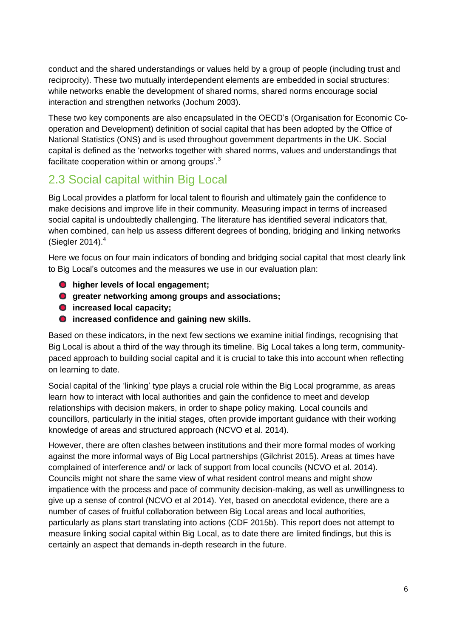conduct and the shared understandings or values held by a group of people (including trust and reciprocity). These two mutually interdependent elements are embedded in social structures: while networks enable the development of shared norms, shared norms encourage social interaction and strengthen networks (Jochum 2003).

These two key components are also encapsulated in the OECD's (Organisation for Economic Cooperation and Development) definition of social capital that has been adopted by the Office of National Statistics (ONS) and is used throughout government departments in the UK. Social capital is defined as the 'networks together with shared norms, values and understandings that facilitate cooperation within or among groups'.<sup>3</sup>

### 2.3 Social capital within Big Local

Big Local provides a platform for local talent to flourish and ultimately gain the confidence to make decisions and improve life in their community. Measuring impact in terms of increased social capital is undoubtedly challenging. The literature has identified several indicators that, when combined, can help us assess different degrees of bonding, bridging and linking networks (Siegler 2014). 4

Here we focus on four main indicators of bonding and bridging social capital that most clearly link to Big Local's outcomes and the measures we use in our evaluation plan:

- **higher levels of local engagement;**
- **greater networking among groups and associations;**
- $\bullet$  increased local capacity;
- **increased confidence and gaining new skills.**

Based on these indicators, in the next few sections we examine initial findings, recognising that Big Local is about a third of the way through its timeline. Big Local takes a long term, communitypaced approach to building social capital and it is crucial to take this into account when reflecting on learning to date.

Social capital of the 'linking' type plays a crucial role within the Big Local programme, as areas learn how to interact with local authorities and gain the confidence to meet and develop relationships with decision makers, in order to shape policy making. Local councils and councillors, particularly in the initial stages, often provide important guidance with their working knowledge of areas and structured approach (NCVO et al. 2014).

However, there are often clashes between institutions and their more formal modes of working against the more informal ways of Big Local partnerships (Gilchrist 2015). Areas at times have complained of interference and/ or lack of support from local councils (NCVO et al. 2014). Councils might not share the same view of what resident control means and might show impatience with the process and pace of community decision-making, as well as unwillingness to give up a sense of control (NCVO et al 2014). Yet, based on anecdotal evidence, there are a number of cases of fruitful collaboration between Big Local areas and local authorities, particularly as plans start translating into actions (CDF 2015b). This report does not attempt to measure linking social capital within Big Local, as to date there are limited findings, but this is certainly an aspect that demands in-depth research in the future.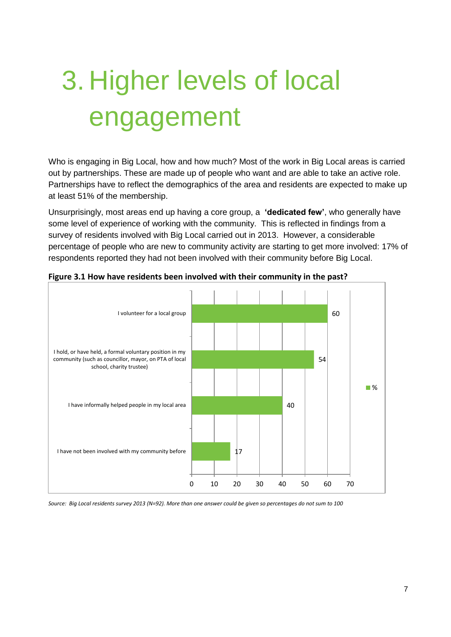## <span id="page-6-0"></span>3. Higher levels of local engagement

Who is engaging in Big Local, how and how much? Most of the work in Big Local areas is carried out by partnerships. These are made up of people who want and are able to take an active role. Partnerships have to reflect the demographics of the area and residents are expected to make up at least 51% of the membership.

Unsurprisingly, most areas end up having a core group, a **'dedicated few'**, who generally have some level of experience of working with the community. This is reflected in findings from a survey of residents involved with Big Local carried out in 2013. However, a considerable percentage of people who are new to community activity are starting to get more involved: 17% of respondents reported they had not been involved with their community before Big Local.



**Figure 3.1 How have residents been involved with their community in the past?**

*Source: Big Local residents survey 2013 (N=92). More than one answer could be given so percentages do not sum to 100*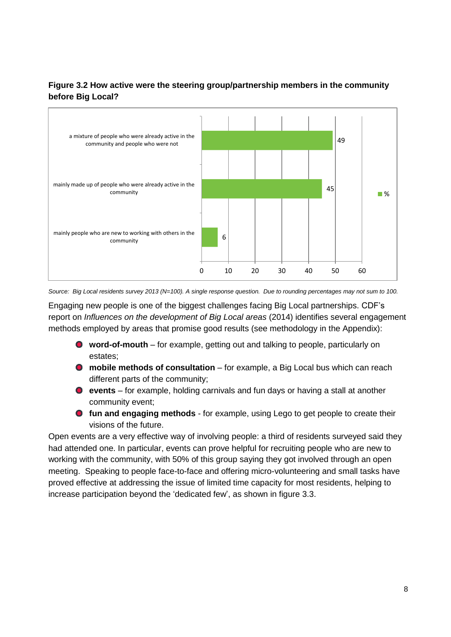#### **Figure 3.2 How active were the steering group/partnership members in the community before Big Local?**



*Source: Big Local residents survey 2013 (N=100). A single response question. Due to rounding percentages may not sum to 100.*

Engaging new people is one of the biggest challenges facing Big Local partnerships. CDF's report on *Influences on the development of Big Local areas* (2014) identifies several engagement methods employed by areas that promise good results (see methodology in the Appendix):

- **word-of-mouth** for example, getting out and talking to people, particularly on estates;
- **mobile methods of consultation** for example, a Big Local bus which can reach different parts of the community;
- **events** for example, holding carnivals and fun days or having a stall at another community event;
- **fun and engaging methods** for example, using Lego to get people to create their visions of the future.

Open events are a very effective way of involving people: a third of residents surveyed said they had attended one. In particular, events can prove helpful for recruiting people who are new to working with the community, with 50% of this group saying they got involved through an open meeting. Speaking to people face-to-face and offering micro-volunteering and small tasks have proved effective at addressing the issue of limited time capacity for most residents, helping to increase participation beyond the 'dedicated few', as shown in figure 3.3.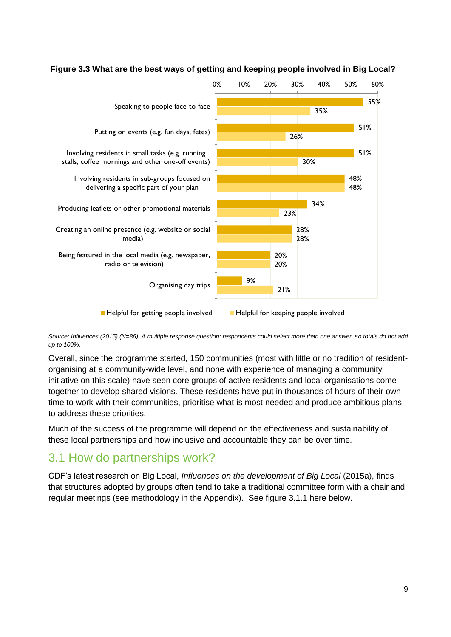

#### **Figure 3.3 What are the best ways of getting and keeping people involved in Big Local?**

*Source: Influences (2015) (N=86). A multiple response question: respondents could select more than one answer, so totals do not add up to 100%.*

Overall, since the programme started, 150 communities (most with little or no tradition of residentorganising at a community-wide level, and none with experience of managing a community initiative on this scale) have seen core groups of active residents and local organisations come together to develop shared visions. These residents have put in thousands of hours of their own time to work with their communities, prioritise what is most needed and produce ambitious plans to address these priorities.

Much of the success of the programme will depend on the effectiveness and sustainability of these local partnerships and how inclusive and accountable they can be over time.

### 3.1 How do partnerships work?

CDF's latest research on Big Local, *Influences on the development of Big Local* (2015a), finds that structures adopted by groups often tend to take a traditional committee form with a chair and regular meetings (see methodology in the Appendix). See figure 3.1.1 here below.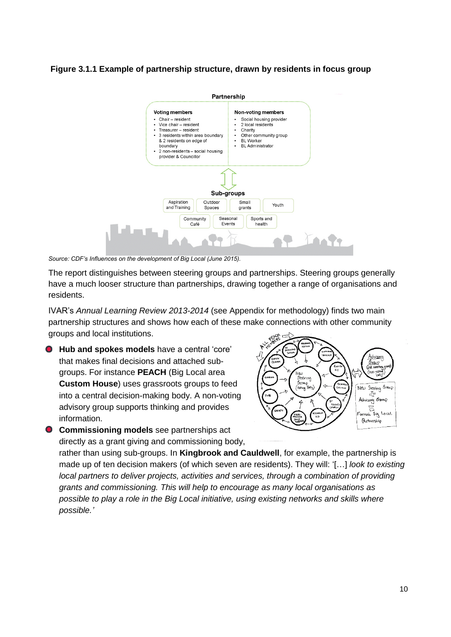**Figure 3.1.1 Example of partnership structure, drawn by residents in focus group**



*Source: CDF's Influences on the development of Big Local (June 2015).*

The report distinguishes between steering groups and partnerships. Steering groups generally have a much looser structure than partnerships, drawing together a range of organisations and residents.

IVAR's *Annual Learning Review 2013-2014* (see Appendix for methodology) finds two main partnership structures and shows how each of these make connections with other community groups and local institutions.

- **Hub and spokes models** have a central 'core' that makes final decisions and attached subgroups. For instance **PEACH** (Big Local area **Custom House**) uses grassroots groups to feed into a central decision-making body. A non-voting advisory group supports thinking and provides information.
- **Commissioning models** see partnerships act directly as a grant giving and commissioning body,



rather than using sub-groups. In **Kingbrook and Cauldwell**, for example, the partnership is made up of ten decision makers (of which seven are residents). They will: '[…] *look to existing local partners to deliver projects, activities and services, through a combination of providing grants and commissioning. This will help to encourage as many local organisations as possible to play a role in the Big Local initiative, using existing networks and skills where possible.'*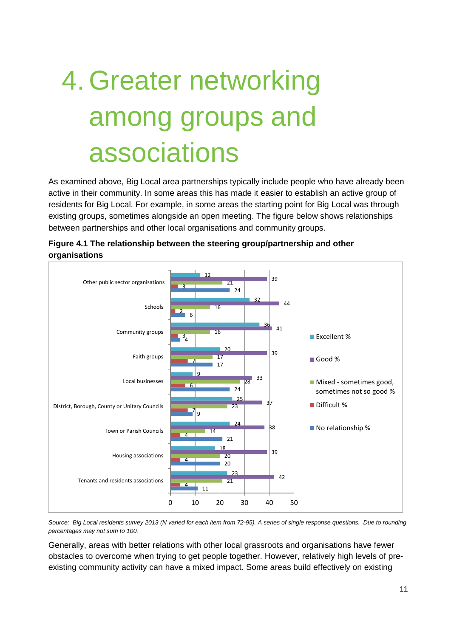## <span id="page-10-0"></span>4. Greater networking among groups and associations

As examined above, Big Local area partnerships typically include people who have already been active in their community. In some areas this has made it easier to establish an active group of residents for Big Local. For example, in some areas the starting point for Big Local was through existing groups, sometimes alongside an open meeting. The figure below shows relationships between partnerships and other local organisations and community groups.



**Figure 4.1 The relationship between the steering group/partnership and other organisations**

*Source: Big Local residents survey 2013 (N varied for each item from 72-95). A series of single response questions. Due to rounding percentages may not sum to 100.* 

Generally, areas with better relations with other local grassroots and organisations have fewer obstacles to overcome when trying to get people together. However, relatively high levels of preexisting community activity can have a mixed impact. Some areas build effectively on existing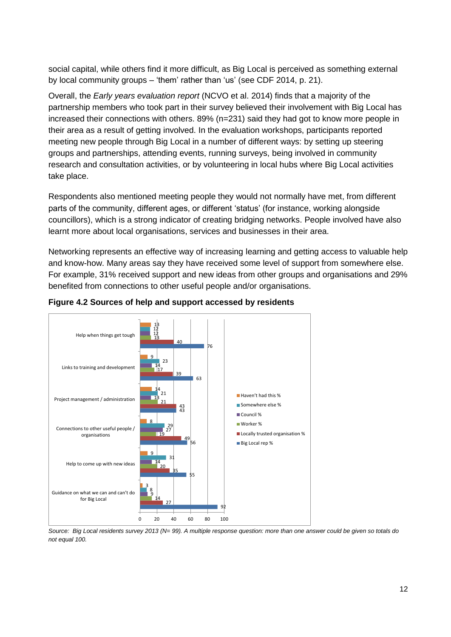social capital, while others find it more difficult, as Big Local is perceived as something external by local community groups – 'them' rather than 'us' (see CDF 2014, p. 21).

Overall, the *Early years evaluation report* (NCVO et al. 2014) finds that a majority of the partnership members who took part in their survey believed their involvement with Big Local has increased their connections with others. 89% (n=231) said they had got to know more people in their area as a result of getting involved. In the evaluation workshops, participants reported meeting new people through Big Local in a number of different ways: by setting up steering groups and partnerships, attending events, running surveys, being involved in community research and consultation activities, or by volunteering in local hubs where Big Local activities take place.

Respondents also mentioned meeting people they would not normally have met, from different parts of the community, different ages, or different 'status' (for instance, working alongside councillors), which is a strong indicator of creating bridging networks. People involved have also learnt more about local organisations, services and businesses in their area.

Networking represents an effective way of increasing learning and getting access to valuable help and know-how. Many areas say they have received some level of support from somewhere else. For example, 31% received support and new ideas from other groups and organisations and 29% benefited from connections to other useful people and/or organisations.



#### **Figure 4.2 Sources of help and support accessed by residents**

*Source: Big Local residents survey 2013 (N= 99). A multiple response question: more than one answer could be given so totals do not equal 100.*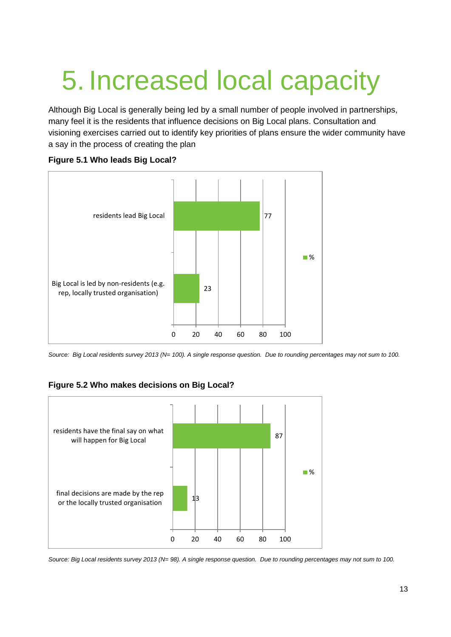## <span id="page-12-0"></span>5. Increased local capacity

Although Big Local is generally being led by a small number of people involved in partnerships, many feel it is the residents that influence decisions on Big Local plans. Consultation and visioning exercises carried out to identify key priorities of plans ensure the wider community have a say in the process of creating the plan

#### **Figure 5.1 Who leads Big Local?**



*Source: Big Local residents survey 2013 (N= 100). A single response question. Due to rounding percentages may not sum to 100.*

#### **Figure 5.2 Who makes decisions on Big Local?**



*Source: Big Local residents survey 2013 (N= 98). A single response question. Due to rounding percentages may not sum to 100.*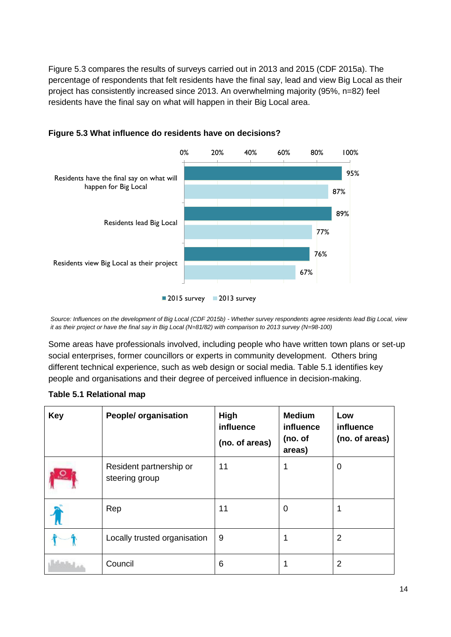Figure 5.3 compares the results of surveys carried out in 2013 and 2015 (CDF 2015a). The percentage of respondents that felt residents have the final say, lead and view Big Local as their project has consistently increased since 2013. An overwhelming majority (95%, n=82) feel residents have the final say on what will happen in their Big Local area.



#### **Figure 5.3 What influence do residents have on decisions?**

*Source: Influences on the development of Big Local (CDF 2015b) - Whether survey respondents agree residents lead Big Local, view it as their project or have the final say in Big Local (N=81/82) with comparison to 2013 survey (N=98-100)*

Some areas have professionals involved, including people who have written town plans or set-up social enterprises, former councillors or experts in community development. Others bring different technical experience, such as web design or social media. Table 5.1 identifies key people and organisations and their degree of perceived influence in decision-making.

| <b>Key</b> | <b>People/ organisation</b>               | High<br>influence<br>(no. of areas) | <b>Medium</b><br>influence<br>(no. of<br>areas) | Low<br>influence<br>(no. of areas) |
|------------|-------------------------------------------|-------------------------------------|-------------------------------------------------|------------------------------------|
| <u>р</u>   | Resident partnership or<br>steering group | 11                                  | 1                                               | 0                                  |
|            | Rep                                       | 11                                  | 0                                               |                                    |
|            | Locally trusted organisation              | 9                                   |                                                 | 2                                  |
|            | Council                                   | 6                                   |                                                 | $\overline{2}$                     |

#### **Table 5.1 Relational map**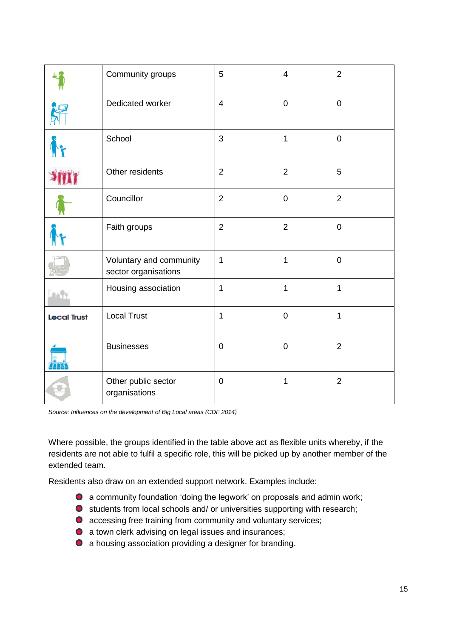|                    | Community groups                                | 5              | $\overline{4}$ | $\overline{2}$ |
|--------------------|-------------------------------------------------|----------------|----------------|----------------|
|                    | Dedicated worker                                | $\overline{4}$ | $\mathbf 0$    | $\mathbf 0$    |
|                    | School                                          | 3              | $\mathbf{1}$   | $\mathbf 0$    |
|                    | Other residents                                 | $\overline{2}$ | $\overline{2}$ | 5              |
|                    | Councillor                                      | $\overline{2}$ | $\pmb{0}$      | $\overline{2}$ |
|                    | Faith groups                                    | $\overline{2}$ | $\overline{2}$ | $\mathbf 0$    |
|                    | Voluntary and community<br>sector organisations | $\mathbf{1}$   | 1              | $\mathbf 0$    |
|                    | Housing association                             | $\mathbf 1$    | 1              | $\mathbf 1$    |
| <b>Local Trust</b> | <b>Local Trust</b>                              | $\mathbf{1}$   | $\pmb{0}$      | $\mathbf{1}$   |
|                    | <b>Businesses</b>                               | $\mathbf 0$    | $\mathbf 0$    | $\overline{2}$ |
|                    | Other public sector<br>organisations            | $\mathbf 0$    | 1              | $\overline{2}$ |

*Source: Influences on the development of Big Local areas (CDF 2014)*

Where possible, the groups identified in the table above act as flexible units whereby, if the residents are not able to fulfil a specific role, this will be picked up by another member of the extended team.

Residents also draw on an extended support network. Examples include:

- a community foundation 'doing the legwork' on proposals and admin work;
- students from local schools and/ or universities supporting with research;
- **O** accessing free training from community and voluntary services;
- a town clerk advising on legal issues and insurances;
- a housing association providing a designer for branding.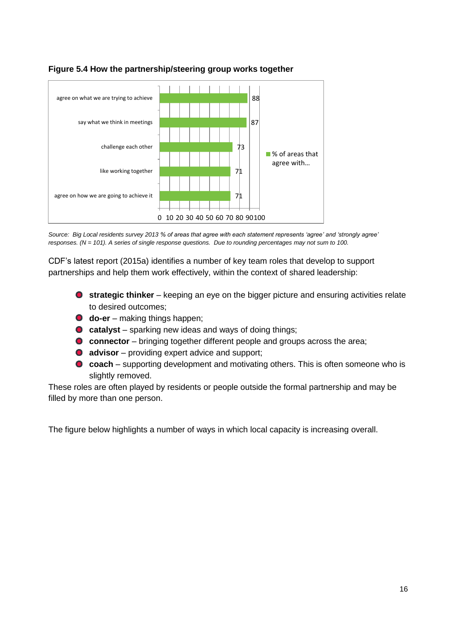

#### **Figure 5.4 How the partnership/steering group works together**

*Source: Big Local residents survey 2013 % of areas that agree with each statement represents 'agree' and 'strongly agree' responses. (N = 101). A series of single response questions. Due to rounding percentages may not sum to 100.* 

CDF's latest report (2015a) identifies a number of key team roles that develop to support partnerships and help them work effectively, within the context of shared leadership:

- **strategic thinker** keeping an eye on the bigger picture and ensuring activities relate to desired outcomes;
- **do-er** making things happen;
- **catalyst** sparking new ideas and ways of doing things;
- **C** connector bringing together different people and groups across the area;
- **O** advisor providing expert advice and support;
- **coach** supporting development and motivating others. This is often someone who is slightly removed.

These roles are often played by residents or people outside the formal partnership and may be filled by more than one person.

The figure below highlights a number of ways in which local capacity is increasing overall.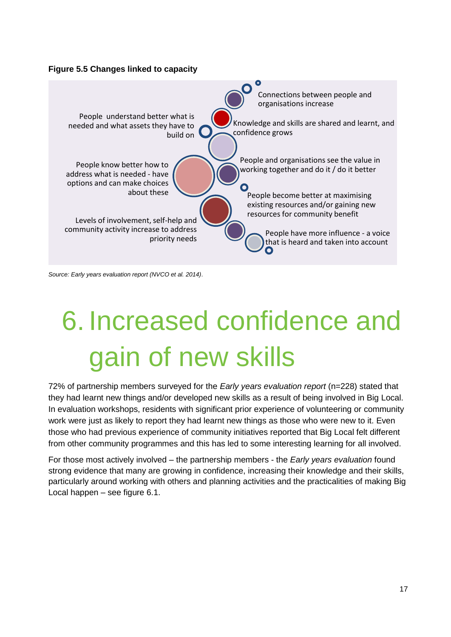#### **Figure 5.5 Changes linked to capacity**



*Source: Early years evaluation report (NVCO et al. 2014)*.

## <span id="page-16-0"></span>6. Increased confidence and gain of new skills

72% of partnership members surveyed for the *Early years evaluation report* (n=228) stated that they had learnt new things and/or developed new skills as a result of being involved in Big Local. In evaluation workshops, residents with significant prior experience of volunteering or community work were just as likely to report they had learnt new things as those who were new to it. Even those who had previous experience of community initiatives reported that Big Local felt different from other community programmes and this has led to some interesting learning for all involved.

For those most actively involved – the partnership members - the *Early years evaluation* found strong evidence that many are growing in confidence, increasing their knowledge and their skills, particularly around working with others and planning activities and the practicalities of making Big Local happen – see figure 6.1.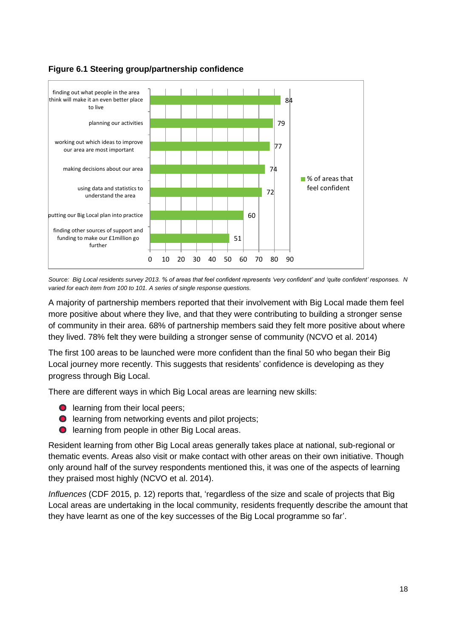

#### **Figure 6.1 Steering group/partnership confidence**

*Source: Big Local residents survey 2013. % of areas that feel confident represents 'very confident' and 'quite confident' responses. N varied for each item from 100 to 101. A series of single response questions.* 

A majority of partnership members reported that their involvement with Big Local made them feel more positive about where they live, and that they were contributing to building a stronger sense of community in their area. 68% of partnership members said they felt more positive about where they lived. 78% felt they were building a stronger sense of community (NCVO et al. 2014)

The first 100 areas to be launched were more confident than the final 50 who began their Big Local journey more recently. This suggests that residents' confidence is developing as they progress through Big Local.

There are different ways in which Big Local areas are learning new skills:

- **O** learning from their local peers;
- **O** learning from networking events and pilot projects;
- **O** learning from people in other Big Local areas.

Resident learning from other Big Local areas generally takes place at national, sub-regional or thematic events. Areas also visit or make contact with other areas on their own initiative. Though only around half of the survey respondents mentioned this, it was one of the aspects of learning they praised most highly (NCVO et al. 2014).

*Influences* (CDF 2015, p. 12) reports that, 'regardless of the size and scale of projects that Big Local areas are undertaking in the local community, residents frequently describe the amount that they have learnt as one of the key successes of the Big Local programme so far'.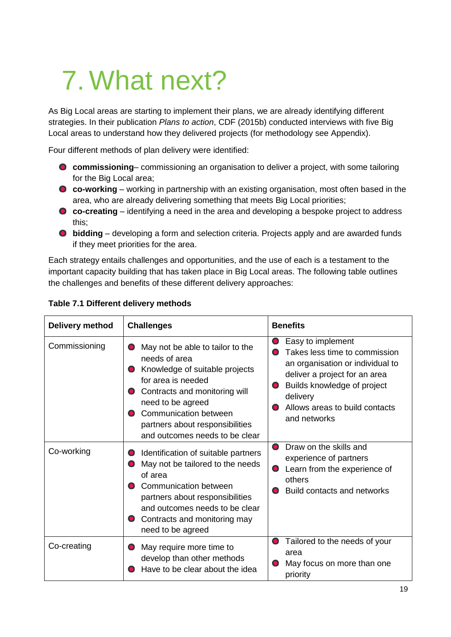## <span id="page-18-0"></span>7. What next?

As Big Local areas are starting to implement their plans, we are already identifying different strategies. In their publication *Plans to action*, CDF (2015b) conducted interviews with five Big Local areas to understand how they delivered projects (for methodology see Appendix).

Four different methods of plan delivery were identified:

- **commissioning** commissioning an organisation to deliver a project, with some tailoring for the Big Local area;
- **co-working** working in partnership with an existing organisation, most often based in the area, who are already delivering something that meets Big Local priorities;
- **co-creating** identifying a need in the area and developing a bespoke project to address this;
- **bidding** developing a form and selection criteria. Projects apply and are awarded funds if they meet priorities for the area.

Each strategy entails challenges and opportunities, and the use of each is a testament to the important capacity building that has taken place in Big Local areas. The following table outlines the challenges and benefits of these different delivery approaches:

| Delivery method | <b>Challenges</b>                                                                                                                                                                                                                                                                                  | <b>Benefits</b>                                                                                                                                                                                                                                                  |
|-----------------|----------------------------------------------------------------------------------------------------------------------------------------------------------------------------------------------------------------------------------------------------------------------------------------------------|------------------------------------------------------------------------------------------------------------------------------------------------------------------------------------------------------------------------------------------------------------------|
| Commissioning   | May not be able to tailor to the<br>$\bullet$<br>needs of area<br>Knowledge of suitable projects<br>for area is needed<br>Contracts and monitoring will<br>need to be agreed<br><b>Communication between</b><br>partners about responsibilities<br>and outcomes needs to be clear                  | Easy to implement<br>$\bullet$<br>Takes less time to commission<br>$\bullet$<br>an organisation or individual to<br>deliver a project for an area<br>Builds knowledge of project<br>$\bullet$<br>delivery<br>Allows areas to build contacts<br>O<br>and networks |
| Co-working      | Identification of suitable partners<br>$\mathbf{\bullet}$<br>May not be tailored to the needs<br>$\bullet$<br>of area<br>Communication between<br>$\bullet$<br>partners about responsibilities<br>and outcomes needs to be clear<br>Contracts and monitoring may<br>$\bullet$<br>need to be agreed | Draw on the skills and<br>$\bullet$<br>experience of partners<br>Learn from the experience of<br>$\bullet$<br>others<br>Build contacts and networks<br>$\bullet$                                                                                                 |
| Co-creating     | May require more time to<br>$\bullet$<br>develop than other methods<br>Have to be clear about the idea                                                                                                                                                                                             | Tailored to the needs of your<br>$\bullet$<br>area<br>May focus on more than one<br>O,<br>priority                                                                                                                                                               |

#### **Table 7.1 Different delivery methods**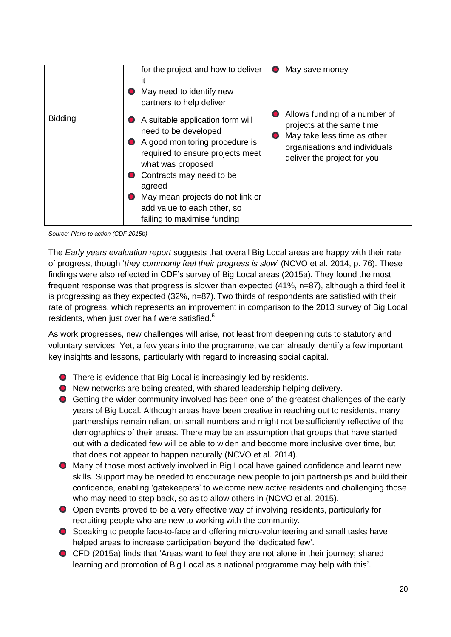|                | for the project and how to deliver<br>it<br>May need to identify new<br>partners to help deliver                                                                                                                                                                                                                      | May save money<br>$\bullet$                                                                                                                                                         |
|----------------|-----------------------------------------------------------------------------------------------------------------------------------------------------------------------------------------------------------------------------------------------------------------------------------------------------------------------|-------------------------------------------------------------------------------------------------------------------------------------------------------------------------------------|
| <b>Bidding</b> | A suitable application form will<br>need to be developed<br>A good monitoring procedure is<br>$\bullet$<br>required to ensure projects meet<br>what was proposed<br>Contracts may need to be<br>agreed<br>May mean projects do not link or<br>$\bullet$<br>add value to each other, so<br>failing to maximise funding | Allows funding of a number of<br>$\bullet$<br>projects at the same time<br>May take less time as other<br>$\bullet$<br>organisations and individuals<br>deliver the project for you |

*Source: Plans to action (CDF 2015b)*

The *Early years evaluation report* suggests that overall Big Local areas are happy with their rate of progress, though '*they commonly feel their progress is slow*' (NCVO et al. 2014, p. 76). These findings were also reflected in CDF's survey of Big Local areas (2015a). They found the most frequent response was that progress is slower than expected (41%, n=87), although a third feel it is progressing as they expected (32%, n=87). Two thirds of respondents are satisfied with their rate of progress, which represents an improvement in comparison to the 2013 survey of Big Local residents, when just over half were satisfied.<sup>5</sup>

As work progresses, new challenges will arise, not least from deepening cuts to statutory and voluntary services. Yet, a few years into the programme, we can already identify a few important key insights and lessons, particularly with regard to increasing social capital.

- **O** There is evidence that Big Local is increasingly led by residents.
- New networks are being created, with shared leadership helping delivery.
- Getting the wider community involved has been one of the greatest challenges of the early years of Big Local. Although areas have been creative in reaching out to residents, many partnerships remain reliant on small numbers and might not be sufficiently reflective of the demographics of their areas. There may be an assumption that groups that have started out with a dedicated few will be able to widen and become more inclusive over time, but that does not appear to happen naturally (NCVO et al. 2014).
- Many of those most actively involved in Big Local have gained confidence and learnt new skills. Support may be needed to encourage new people to join partnerships and build their confidence, enabling 'gatekeepers' to welcome new active residents and challenging those who may need to step back, so as to allow others in (NCVO et al. 2015).
- Open events proved to be a very effective way of involving residents, particularly for recruiting people who are new to working with the community.
- Speaking to people face-to-face and offering micro-volunteering and small tasks have helped areas to increase participation beyond the 'dedicated few'.
- CFD (2015a) finds that 'Areas want to feel they are not alone in their journey; shared learning and promotion of Big Local as a national programme may help with this'.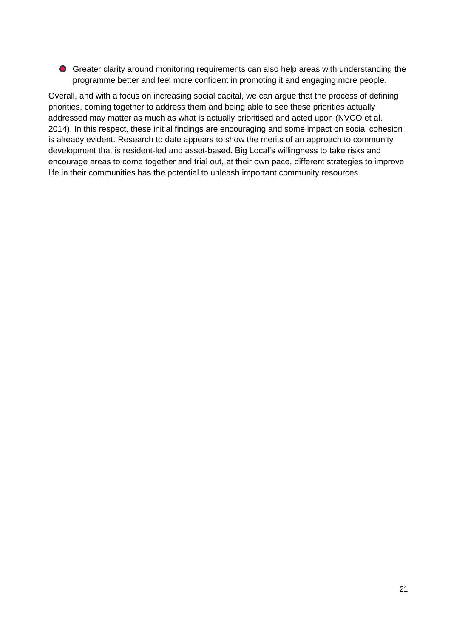Greater clarity around monitoring requirements can also help areas with understanding the programme better and feel more confident in promoting it and engaging more people.

<span id="page-20-0"></span>Overall, and with a focus on increasing social capital, we can argue that the process of defining priorities, coming together to address them and being able to see these priorities actually addressed may matter as much as what is actually prioritised and acted upon (NVCO et al. 2014). In this respect, these initial findings are encouraging and some impact on social cohesion is already evident. Research to date appears to show the merits of an approach to community development that is resident-led and asset-based. Big Local's willingness to take risks and encourage areas to come together and trial out, at their own pace, different strategies to improve life in their communities has the potential to unleash important community resources.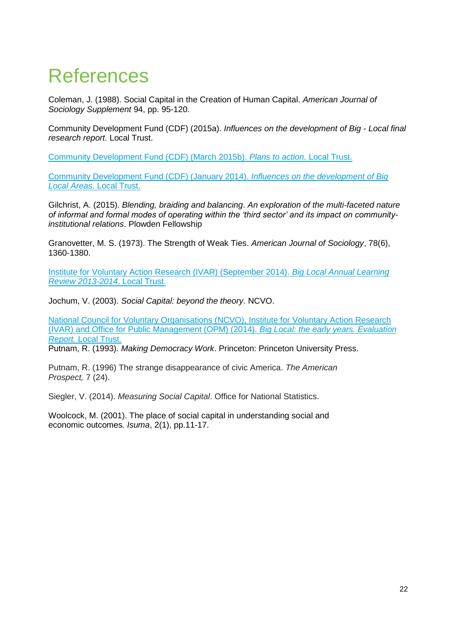## **References**

Coleman, J. (1988). Social Capital in the Creation of Human Capital. *American Journal of Sociology Supplement* 94, pp. 95-120.

Community Development Fund (CDF) (2015a). *Influences on the development of Big - Local final research report.* Local Trust.

[Community Development Fund \(CDF\) \(March 2015b\).](http://localtrust.org.uk/library/research-and-evaluation/plans-to-action) *Plans to action.* Local Trust.

[Community Development Fund \(CDF\) \(January 2014\).](http://localtrust.org.uk/library/research-and-evaluation/influences-on-the-development-of-big-local-areas) *Influences on the development of Big Local Areas*[. Local Trust.](http://localtrust.org.uk/library/research-and-evaluation/influences-on-the-development-of-big-local-areas)

Gilchrist, A. (2015). *Blending, braiding and balancing*. *An exploration of the multi-faceted nature of informal and formal modes of operating within the 'third sector' and its impact on communityinstitutional relations*. Plowden Fellowship

Granovetter, M. S. (1973). The Strength of Weak Ties. *American Journal of Sociology*, 78(6), 1360-1380.

[Institute for Voluntary Action Research \(IVAR\) \(September 2014\).](http://localtrust.org.uk/library/research-and-evaluation/big-local-annual-learning-review-2013-2014) *Big Local Annual Learning [Review 2013-2014](http://localtrust.org.uk/library/research-and-evaluation/big-local-annual-learning-review-2013-2014)*. Local Trust.

Jochum, V. (2003). *Social Capital: beyond the theory*. NCVO.

[National Council for Voluntary Organisations \(NCVO\), Institute for Voluntary Action Research](http://localtrust.org.uk/library/research-and-evaluation/big-local-early-years-evaluation)  [\(IVAR\) and Office for Public Management \(OPM\) \(2014\).](http://localtrust.org.uk/library/research-and-evaluation/big-local-early-years-evaluation) *Big Local: the early years. Evaluation Report.* [Local Trust.](http://localtrust.org.uk/library/research-and-evaluation/big-local-early-years-evaluation)

Putnam, R. (1993). *Making Democracy Work*. Princeton: Princeton University Press.

Putnam, R. (1996) The strange disappearance of civic America. *The American Prospect,* 7 (24).

Siegler, V. (2014). *Measuring Social Capital*. Office for National Statistics.

<span id="page-21-0"></span>Woolcock, M. (2001). The place of social capital in understanding social and economic outcomes*. Isuma*, 2(1), pp.11-17.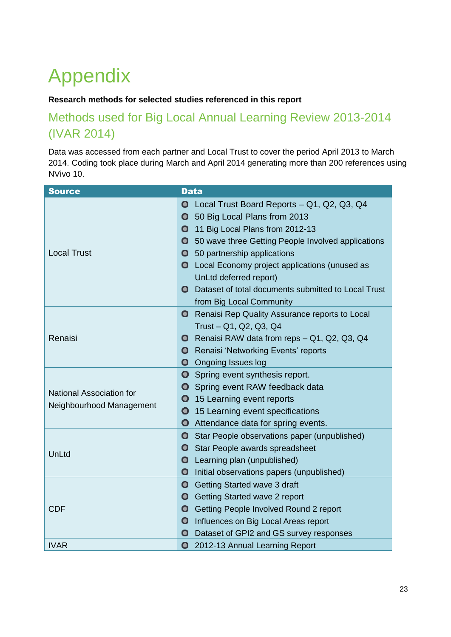## Appendix

#### **Research methods for selected studies referenced in this report**

### Methods used for Big Local Annual Learning Review 2013-2014 (IVAR 2014)

Data was accessed from each partner and Local Trust to cover the period April 2013 to March 2014. Coding took place during March and April 2014 generating more than 200 references using NVivo 10.

| <b>Source</b>                   | <b>Data</b>                                                      |
|---------------------------------|------------------------------------------------------------------|
|                                 | $\bullet$<br>Local Trust Board Reports - Q1, Q2, Q3, Q4          |
|                                 | 50 Big Local Plans from 2013<br>$\bullet$                        |
|                                 | 11 Big Local Plans from 2012-13<br>$\bullet$                     |
|                                 | 50 wave three Getting People Involved applications<br>$\bullet$  |
| <b>Local Trust</b>              | <b>O</b> 50 partnership applications                             |
|                                 | <b>O</b> Local Economy project applications (unused as           |
|                                 | UnLtd deferred report)                                           |
|                                 | Dataset of total documents submitted to Local Trust<br>$\bullet$ |
|                                 | from Big Local Community                                         |
|                                 | <b>O</b> Renaisi Rep Quality Assurance reports to Local          |
|                                 | Trust - Q1, Q2, Q3, Q4                                           |
| Renaisi                         | Renaisi RAW data from reps - Q1, Q2, Q3, Q4<br>$\mathbf o$       |
|                                 | Renaisi 'Networking Events' reports<br>$\bullet$                 |
|                                 | $\bullet$<br><b>Ongoing Issues log</b>                           |
|                                 | $\bullet$<br>Spring event synthesis report.                      |
| <b>National Association for</b> | $\bullet$<br>Spring event RAW feedback data                      |
| Neighbourhood Management        | $\mathbf 0$<br>15 Learning event reports                         |
|                                 | $\mathbf 0$<br>15 Learning event specifications                  |
|                                 | $\bullet$<br>Attendance data for spring events.                  |
|                                 | $\bullet$<br>Star People observations paper (unpublished)        |
| UnLtd                           | <b>O</b> Star People awards spreadsheet                          |
|                                 | Learning plan (unpublished)<br>$\mathbf \Omega$                  |
|                                 | Initial observations papers (unpublished)<br>$\bullet$           |
|                                 | $\bullet$<br>Getting Started wave 3 draft                        |
|                                 | <b>O</b> Getting Started wave 2 report                           |
| <b>CDF</b>                      | $\bullet$<br>Getting People Involved Round 2 report              |
|                                 | Influences on Big Local Areas report<br>$\bullet$                |
|                                 | $\bullet$<br>Dataset of GPI2 and GS survey responses             |
| <b>IVAR</b>                     | 2012-13 Annual Learning Report<br>$\bullet$                      |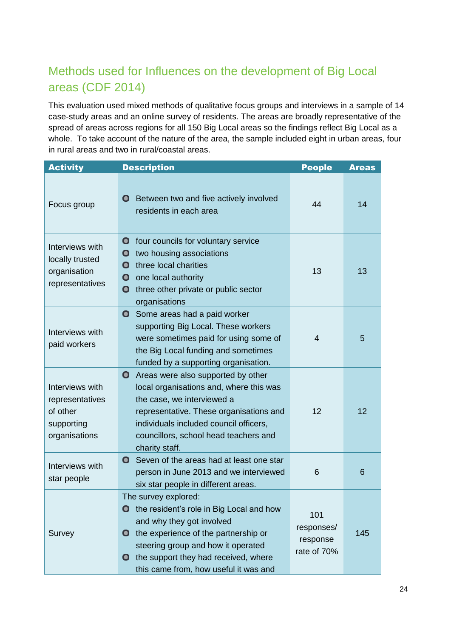### Methods used for Influences on the development of Big Local areas (CDF 2014)

This evaluation used mixed methods of qualitative focus groups and interviews in a sample of 14 case-study areas and an online survey of residents. The areas are broadly representative of the spread of areas across regions for all 150 Big Local areas so the findings reflect Big Local as a whole. To take account of the nature of the area, the sample included eight in urban areas, four in rural areas and two in rural/coastal areas.

| <b>Activity</b>                                                               | <b>Description</b>                                                                                                                                                                                                                                                                        | <b>People</b>                                | <b>Areas</b> |
|-------------------------------------------------------------------------------|-------------------------------------------------------------------------------------------------------------------------------------------------------------------------------------------------------------------------------------------------------------------------------------------|----------------------------------------------|--------------|
| Focus group                                                                   | Between two and five actively involved<br>$\mathbf \Omega$<br>residents in each area                                                                                                                                                                                                      | 44                                           | 14           |
| Interviews with<br>locally trusted<br>organisation<br>representatives         | four councils for voluntary service<br>$\bullet$<br>two housing associations<br>$\mathbf 0$<br>three local charities<br>$\bullet$<br>$\mathbf o$<br>one local authority<br>three other private or public sector<br>$\mathbf 0$<br>organisations                                           | 13                                           | 13           |
| Interviews with<br>paid workers                                               | $\bullet$<br>Some areas had a paid worker<br>supporting Big Local. These workers<br>were sometimes paid for using some of<br>the Big Local funding and sometimes<br>funded by a supporting organisation.                                                                                  | $\overline{4}$                               | 5            |
| Interviews with<br>representatives<br>of other<br>supporting<br>organisations | Areas were also supported by other<br>$\bullet$<br>local organisations and, where this was<br>the case, we interviewed a<br>representative. These organisations and<br>individuals included council officers,<br>councillors, school head teachers and<br>charity staff.                  | 12                                           | 12           |
| Interviews with<br>star people                                                | Seven of the areas had at least one star<br>$\bullet$<br>person in June 2013 and we interviewed<br>six star people in different areas.                                                                                                                                                    | 6                                            | 6            |
| Survey                                                                        | The survey explored:<br><b>O</b> the resident's role in Big Local and how<br>and why they got involved<br>the experience of the partnership or<br>O<br>steering group and how it operated<br>the support they had received, where<br>$\mathbf o$<br>this came from, how useful it was and | 101<br>responses/<br>response<br>rate of 70% | 145          |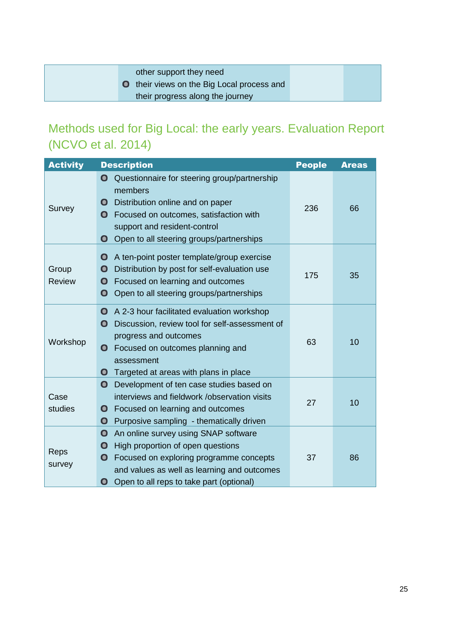other support they need

**O** their views on the Big Local process and their progress along the journey

### Methods used for Big Local: the early years. Evaluation Report (NCVO et al. 2014)

| <b>Activity</b>        | <b>Description</b>                                                                                                                                                                                                                                                             | <b>People</b> | <b>Areas</b> |
|------------------------|--------------------------------------------------------------------------------------------------------------------------------------------------------------------------------------------------------------------------------------------------------------------------------|---------------|--------------|
| Survey                 | Questionnaire for steering group/partnership<br>$\mathbf \Omega$<br>members<br>Distribution online and on paper<br>$\bullet$<br>Focused on outcomes, satisfaction with<br>$\bullet$<br>support and resident-control<br>Open to all steering groups/partnerships<br>$\mathbf o$ | 236           | 66           |
| Group<br><b>Review</b> | $\bullet$<br>A ten-point poster template/group exercise<br>Distribution by post for self-evaluation use<br>$\bullet$<br>Focused on learning and outcomes<br>$\bullet$<br>$\bullet$<br>Open to all steering groups/partnerships                                                 | 175           | 35           |
| Workshop               | A 2-3 hour facilitated evaluation workshop<br>$\bullet$<br>Discussion, review tool for self-assessment of<br>О<br>progress and outcomes<br>Focused on outcomes planning and<br>$\mathbf o$<br>assessment<br>Targeted at areas with plans in place<br>$\bullet$                 | 63            | 10           |
| Case<br>studies        | Development of ten case studies based on<br>$\mathbf o$<br>interviews and fieldwork / observation visits<br>Focused on learning and outcomes<br>0<br>$\bullet$<br>Purposive sampling - thematically driven                                                                     | 27            | 10           |
| Reps<br>survey         | $\bullet$<br>An online survey using SNAP software<br>High proportion of open questions<br>$\bullet$<br>Focused on exploring programme concepts<br>O<br>and values as well as learning and outcomes<br>Open to all reps to take part (optional)<br>O                            | 37            | 86           |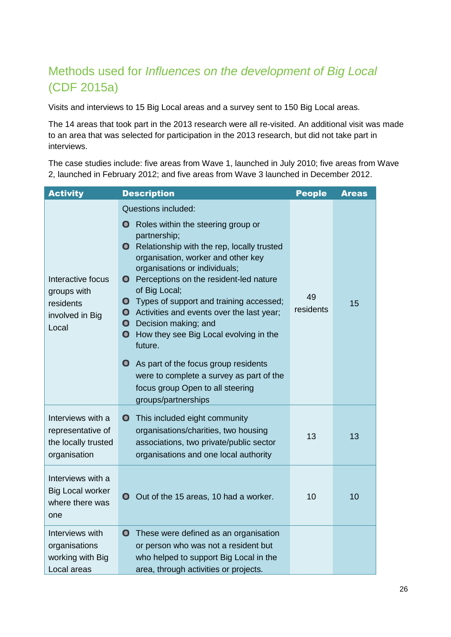### Methods used for *Influences on the development of Big Local* (CDF 2015a)

Visits and interviews to 15 Big Local areas and a survey sent to 150 Big Local areas.

The 14 areas that took part in the 2013 research were all re-visited. An additional visit was made to an area that was selected for participation in the 2013 research, but did not take part in interviews.

The case studies include: five areas from Wave 1, launched in July 2010; five areas from Wave 2, launched in February 2012; and five areas from Wave 3 launched in December 2012.

| <b>Activity</b>                                                               | <b>Description</b>                                                                                                                                                                                                                                                                                                                                                                                                                                                                                                                                                                                                                                                        | <b>People</b>   | <b>Areas</b> |
|-------------------------------------------------------------------------------|---------------------------------------------------------------------------------------------------------------------------------------------------------------------------------------------------------------------------------------------------------------------------------------------------------------------------------------------------------------------------------------------------------------------------------------------------------------------------------------------------------------------------------------------------------------------------------------------------------------------------------------------------------------------------|-----------------|--------------|
| Interactive focus<br>groups with<br>residents<br>involved in Big<br>Local     | <b>Questions included:</b><br>Roles within the steering group or<br>$\mathbf o$<br>partnership;<br>Relationship with the rep, locally trusted<br>$\mathbf o$<br>organisation, worker and other key<br>organisations or individuals;<br><b>O</b> Perceptions on the resident-led nature<br>of Big Local;<br>Types of support and training accessed;<br>$\bullet$<br>• Activities and events over the last year;<br>Decision making; and<br>$\bullet$<br>$\bullet$<br>How they see Big Local evolving in the<br>future.<br>О<br>As part of the focus group residents<br>were to complete a survey as part of the<br>focus group Open to all steering<br>groups/partnerships | 49<br>residents | 15           |
| Interviews with a<br>representative of<br>the locally trusted<br>organisation | <b>O</b> This included eight community<br>organisations/charities, two housing<br>associations, two private/public sector<br>organisations and one local authority                                                                                                                                                                                                                                                                                                                                                                                                                                                                                                        | 13              | 13           |
| Interviews with a<br><b>Big Local worker</b><br>where there was<br>one        | O Out of the 15 areas, 10 had a worker.                                                                                                                                                                                                                                                                                                                                                                                                                                                                                                                                                                                                                                   | 10              | 10           |
| Interviews with<br>organisations<br>working with Big<br>Local areas           | These were defined as an organisation<br>$\bullet$<br>or person who was not a resident but<br>who helped to support Big Local in the<br>area, through activities or projects.                                                                                                                                                                                                                                                                                                                                                                                                                                                                                             |                 |              |